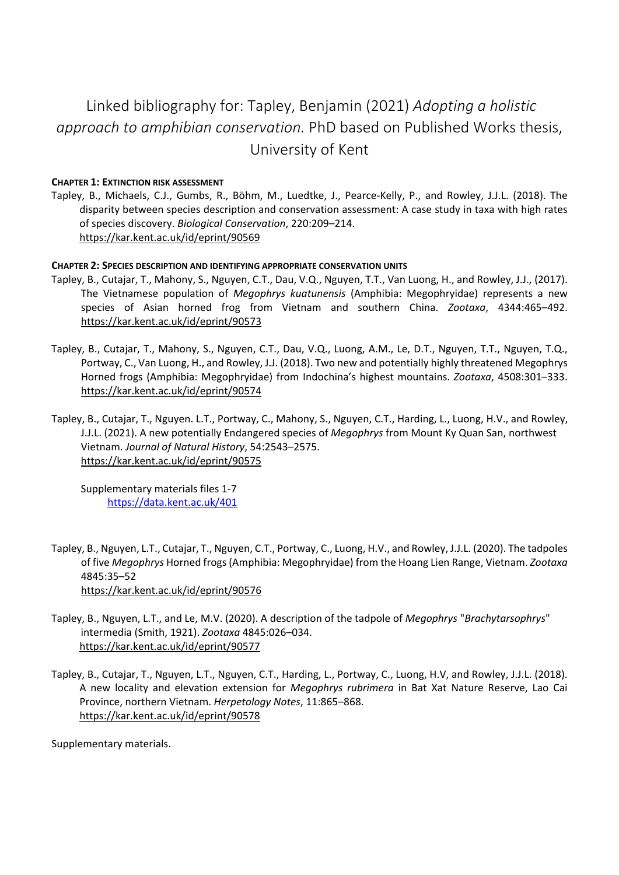# Linked bibliography for: Tapley, Benjamin (2021) *Adopting a holistic approach to amphibian conservation.* PhD based on Published Works thesis, University of Kent

# **CHAPTER 1: EXTINCTION RISK ASSESSMENT**

Tapley, B., Michaels, C.J., Gumbs, R., Böhm, M., Luedtke, J., Pearce-Kelly, P., and Rowley, J.J.L. (2018). The disparity between species description and conservation assessment: A case study in taxa with high rates of species discovery. *Biological Conservation*, 220:209–214. <https://kar.kent.ac.uk/id/eprint/90569>

### **CHAPTER 2: SPECIES DESCRIPTION AND IDENTIFYING APPROPRIATE CONSERVATION UNITS**

- Tapley, B., Cutajar, T., Mahony, S., Nguyen, C.T., Dau, V.Q., Nguyen, T.T., Van Luong, H., and Rowley, J.J., (2017). The Vietnamese population of *Megophrys kuatunensis* (Amphibia: Megophryidae) represents a new species of Asian horned frog from Vietnam and southern China. *Zootaxa*, 4344:465–492. <https://kar.kent.ac.uk/id/eprint/90573>
- Tapley, B., Cutajar, T., Mahony, S., Nguyen, C.T., Dau, V.Q., Luong, A.M., Le, D.T., Nguyen, T.T., Nguyen, T.Q., Portway, C., Van Luong, H., and Rowley, J.J. (2018). Two new and potentially highly threatened Megophrys Horned frogs (Amphibia: Megophryidae) from Indochina's highest mountains. *Zootaxa*, 4508:301–333. <https://kar.kent.ac.uk/id/eprint/90574>
- Tapley, B., Cutajar, T., Nguyen. L.T., Portway, C., Mahony, S., Nguyen, C.T., Harding, L., Luong, H.V., and Rowley, J.J.L. (2021). A new potentially Endangered species of *Megophrys* from Mount Ky Quan San, northwest Vietnam. *Journal of Natural History*, 54:2543–2575. <https://kar.kent.ac.uk/id/eprint/90575>

Supplementary materials files 1-7 <https://data.kent.ac.uk/401>

- Tapley, B., Nguyen, L.T., Cutajar, T., Nguyen, C.T., Portway, C., Luong, H.V., and Rowley, J.J.L. (2020). The tadpoles of five *Megophrys* Horned frogs(Amphibia: Megophryidae) from the Hoang Lien Range, Vietnam. *Zootaxa*  4845:35–52 <https://kar.kent.ac.uk/id/eprint/90576>
- Tapley, B., Nguyen, L.T., and Le, M.V. (2020). A description of the tadpole of *Megophrys* "*Brachytarsophrys*" intermedia (Smith, 1921). *Zootaxa* 4845:026–034. <https://kar.kent.ac.uk/id/eprint/90577>
- Tapley, B., Cutajar, T., Nguyen, L.T., Nguyen, C.T., Harding, L., Portway, C., Luong, H.V, and Rowley, J.J.L. (2018). A new locality and elevation extension for *Megophrys rubrimera* in Bat Xat Nature Reserve, Lao Cai Province, northern Vietnam. *Herpetology Notes*, 11:865–868. <https://kar.kent.ac.uk/id/eprint/90578>

Supplementary materials.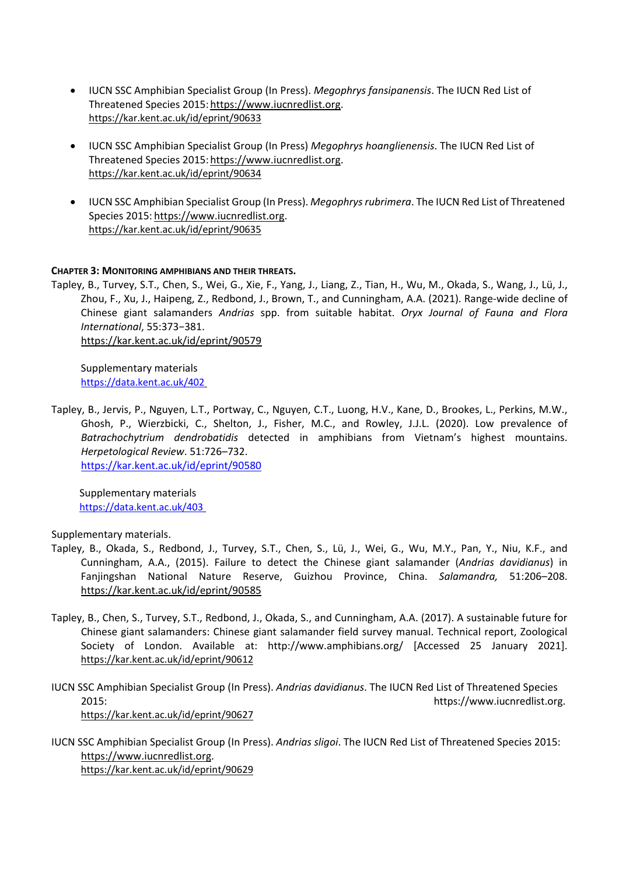- IUCN SSC Amphibian Specialist Group (In Press). *Megophrys fansipanensis*. The IUCN Red List of Threatened Species 2015: https://www.iucnredlist.org. <https://kar.kent.ac.uk/id/eprint/90633>
- IUCN SSC Amphibian Specialist Group (In Press) *Megophrys hoanglienensis*. The IUCN Red List of Threatened Species 2015[:https://www.iucnredlist.org.](https://www.iucnredlist.org/) <https://kar.kent.ac.uk/id/eprint/90634>
- IUCN SSC Amphibian Specialist Group (In Press). *Megophrysrubrimera*. The IUCN Red List of Threatened Species 2015: [https://www.iucnredlist.org.](https://www.iucnredlist.org/) <https://kar.kent.ac.uk/id/eprint/90635>

# **CHAPTER 3: MONITORING AMPHIBIANS AND THEIR THREATS.**

Tapley, B., Turvey, S.T., Chen, S., Wei, G., Xie, F., Yang, J., Liang, Z., Tian, H., Wu, M., Okada, S., Wang, J., Lü, J., Zhou, F., Xu, J., Haipeng, Z., Redbond, J., Brown, T., and Cunningham, A.A. (2021). Range-wide decline of Chinese giant salamanders *Andrias* spp. from suitable habitat. *Oryx Journal of Fauna and Flora International*, 55:373−381. <https://kar.kent.ac.uk/id/eprint/90579>

Supplementary materials <https://data.kent.ac.uk/402>

Tapley, B., Jervis, P., Nguyen, L.T., Portway, C., Nguyen, C.T., Luong, H.V., Kane, D., Brookes, L., Perkins, M.W., Ghosh, P., Wierzbicki, C., Shelton, J., Fisher, M.C., and Rowley, J.J.L. (2020). Low prevalence of *Batrachochytrium dendrobatidis* detected in amphibians from Vietnam's highest mountains. *Herpetological Review*. 51:726–732. <https://kar.kent.ac.uk/id/eprint/90580>

Supplementary materials <https://data.kent.ac.uk/403>

Supplementary materials.

- Tapley, B., Okada, S., Redbond, J., Turvey, S.T., Chen, S., Lü, J., Wei, G., Wu, M.Y., Pan, Y., Niu, K.F., and Cunningham, A.A., (2015). Failure to detect the Chinese giant salamander (*Andrias davidianus*) in Fanjingshan National Nature Reserve, Guizhou Province, China. *Salamandra,* 51:206–208. <https://kar.kent.ac.uk/id/eprint/90585>
- Tapley, B., Chen, S., Turvey, S.T., Redbond, J., Okada, S., and Cunningham, A.A. (2017). A sustainable future for Chinese giant salamanders: Chinese giant salamander field survey manual. Technical report, Zoological Society of London. Available at: <http://www.amphibians.org/> [Accessed 25 January 2021]. <https://kar.kent.ac.uk/id/eprint/90612>
- IUCN SSC Amphibian Specialist Group (In Press). *Andrias davidianus*. The IUCN Red List of Threatened Species 2015: https:/[/www.iucnredlist.org.](http://www.iucnredlist.org/) <https://kar.kent.ac.uk/id/eprint/90627>
- IUCN SSC Amphibian Specialist Group (In Press). *Andrias sligoi*. The IUCN Red List of Threatened Species 2015: [https://www.iucnredlist.org.](https://www.iucnredlist.org/) <https://kar.kent.ac.uk/id/eprint/90629>